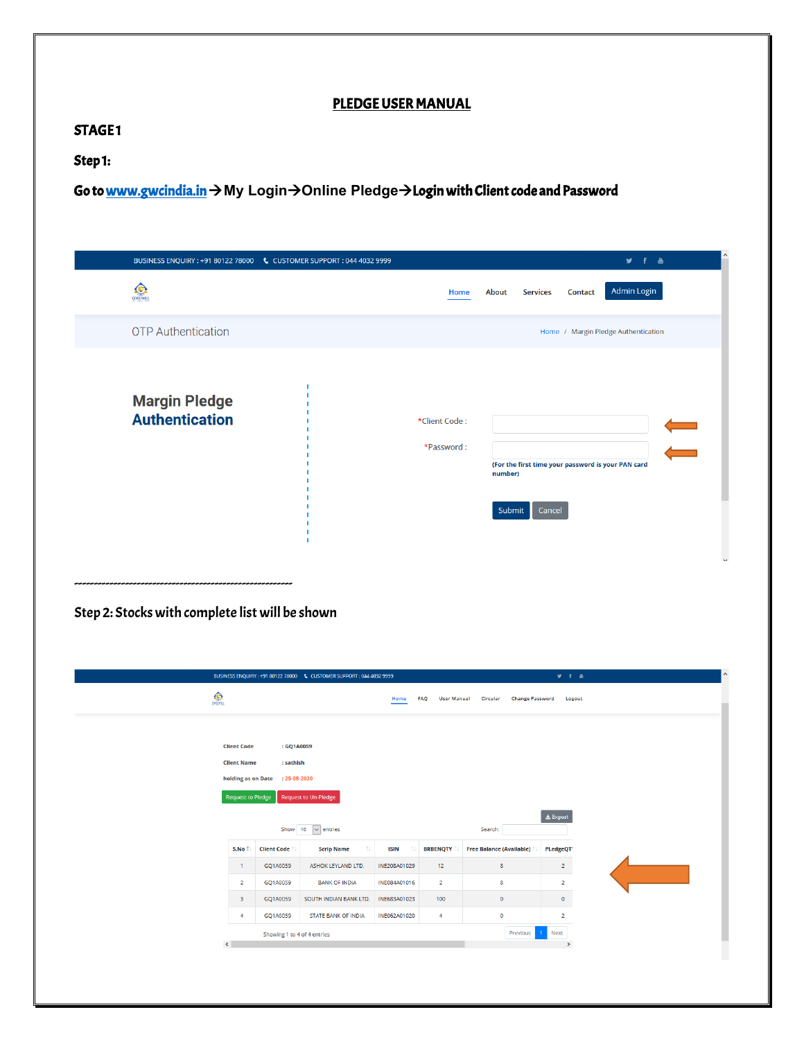## PLEDGE USER MANUAL

#### STAGE1

### Step 1:

Go t[o www.gwcindia.in](http://www.gwcindia.in/)  $\rightarrow$  My Login $\rightarrow$  Online Pledge $\rightarrow$  Login with Client code and Password

|                                               | BUSINESS ENQUIRY : +91 80122 78000    6    CUSTOMER SUPPORT : 044 4032 9999 |                             |                                                                                   |         | $y + a$                             |           |
|-----------------------------------------------|-----------------------------------------------------------------------------|-----------------------------|-----------------------------------------------------------------------------------|---------|-------------------------------------|-----------|
| $\bigodot$                                    |                                                                             | Home                        | <b>Services</b><br>About                                                          | Contact | Admin Login                         |           |
| <b>OTP</b> Authentication                     |                                                                             |                             |                                                                                   |         | Home / Margin Pledge Authentication |           |
| <b>Margin Pledge</b><br><b>Authentication</b> |                                                                             | *Client Code:<br>*Password: | (For the first time your password is your PAN card<br>number)<br>Submit<br>Cancel |         |                                     | `<br><=== |

### Step 2: Stocks with complete list will be shown

|                                                |                                 | BUSINESS ENQUIRY: +91 80122 78000 \ CUSTOMER SUPPORT: 044 4032 9999 |              |                                  |                                    | <b>y</b> f a      |  |
|------------------------------------------------|---------------------------------|---------------------------------------------------------------------|--------------|----------------------------------|------------------------------------|-------------------|--|
| $\frac{1}{\frac{1}{\frac{1}{2}}\sum_{i=1}^{n}$ |                                 |                                                                     | Home         | <b>FAO</b><br><b>User Manual</b> | <b>Change Password</b><br>Circular | Logout            |  |
|                                                |                                 |                                                                     |              |                                  |                                    |                   |  |
| <b>Client Code</b>                             | : GQ1A0059                      |                                                                     |              |                                  |                                    |                   |  |
| <b>Client Name</b>                             | : sathish                       |                                                                     |              |                                  |                                    |                   |  |
|                                                | holding as on Date : 25-08-2020 |                                                                     |              |                                  |                                    |                   |  |
| <b>Request to Pledge</b>                       |                                 | <b>Request to Un-Pledge</b>                                         |              |                                  |                                    |                   |  |
|                                                |                                 |                                                                     |              |                                  |                                    | $\Delta E$ Export |  |
|                                                | Show 10                         | $\vee$ entries                                                      |              |                                  | Search:                            |                   |  |
| S.No 1                                         | <b>Client Code</b>              | <b>Scrip Name</b><br>TI.                                            | <b>ISIN</b>  | <b>BRBENQTY</b>                  | <b>Free Balance (Available)</b>    | PLedgeQT          |  |
| $\mathbf{1}$                                   | GQ1A0059                        | ASHOK LEYLAND LTD.                                                  | INE208A01029 | 12                               | $\mathbf{8}$                       | $2^{\circ}$       |  |
| $\overline{2}$                                 | GQ1A0059                        | <b>BANK OF INDIA</b>                                                | INE084A01016 | $\overline{2}$                   | 8                                  | $\overline{2}$    |  |
| 3                                              | GQ1A0059                        | SOUTH INDIAN BANK LTD.                                              | INE683A01023 | 100                              | $\bullet$                          | $\bullet$         |  |
| $\overline{4}$                                 | GQ1A0059                        | <b>STATE BANK OF INDIA</b>                                          | INE062A01020 | 4                                | $\bullet$                          | $\overline{2}$    |  |
|                                                | Showing 1 to 4 of 4 entries     |                                                                     |              |                                  | Previous                           | Next<br>$-1$      |  |
| $\langle$                                      |                                 |                                                                     |              |                                  |                                    | $\,$              |  |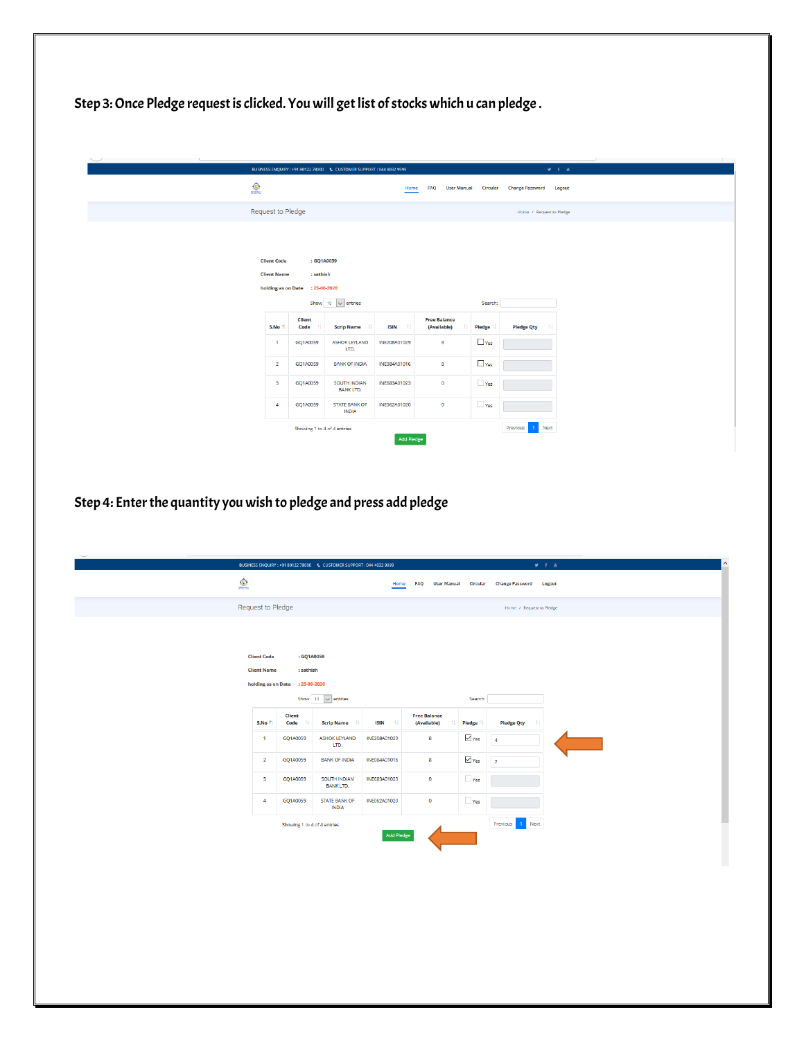Step 3: Once Pledge request is clicked. You will get list of stocks which u can pledge.

|                                                                      |                                                                                                 | BUSINESS ENQUIRY: +91 80122 78000    6    CUSTOMER SUPPORT: 044 4032 9999 |                                    |                                         |                    |                                 |                               | M. F. & |
|----------------------------------------------------------------------|-------------------------------------------------------------------------------------------------|---------------------------------------------------------------------------|------------------------------------|-----------------------------------------|--------------------|---------------------------------|-------------------------------|---------|
| $\bigcirc$                                                           |                                                                                                 |                                                                           | Home                               | <b>FAO</b>                              | <b>User Manual</b> | Circular                        | <b>Change Password</b> Logout |         |
| Request to Pledge                                                    | Home / Request to Pledge                                                                        |                                                                           |                                    |                                         |                    |                                 |                               |         |
| <b>Client Code</b><br><b>Client Name</b><br>S.No 1<br>$\blacksquare$ | : GQ1A0059<br>: sathish<br>holding as on Date : 25-08-2020<br><b>Client</b><br>Code<br>GQ1A0059 | Show 10 $\vee$ entries<br><b>Scrip Name</b><br><b>ASHOK LEYLAND</b>       | <b>ISIN</b><br>-11<br>INE208A01029 | <b>Free Balance</b><br>(Available)<br>8 |                    | Search:<br><b>Pledge</b><br>Yes | <b>Pledge Qty</b><br>-ti      |         |
| $\overline{2}$                                                       | GQ1A0059                                                                                        | LTD.<br><b>BANK OF INDIA</b>                                              | INE084A01016                       | 8                                       |                    | Yes                             |                               |         |
|                                                                      |                                                                                                 |                                                                           |                                    |                                         |                    |                                 |                               |         |
| $\overline{\mathbf{3}}$                                              | GQ1A0059                                                                                        | SOUTH INDIAN<br><b>BANK LTD.</b>                                          | INE683A01023                       | $\circ$                                 |                    | Yes                             |                               |         |
| $\overline{4}$                                                       | GQ1A0059                                                                                        | <b>STATE BANK OF</b><br><b>INDIA</b>                                      | INE062A01020                       | $\bullet$                               |                    | Yes                             |                               |         |
|                                                                      | 1 Next<br>Previous                                                                              |                                                                           |                                    |                                         |                    |                                 |                               |         |

Step 4: Enter the quantity you wish to pledge and press add pledge

|                | BUSINESS ENQUIRY: +91 80122 78000  C CUSTOMER SUPPORT: 044 4032 9999 |                                         |                                        |                                           |                 | $\mathbf{y}=\mathbf{f}-\mathbf{a}$ |  |
|----------------|----------------------------------------------------------------------|-----------------------------------------|----------------------------------------|-------------------------------------------|-----------------|------------------------------------|--|
| $\circledcirc$ |                                                                      |                                         | Home                                   | <b>FAQ</b><br><b>User Manual</b>          | <b>Circular</b> | <b>Change Password</b> Logout      |  |
|                | Request to Pledge                                                    |                                         |                                        |                                           |                 | Home / Request to Pledge           |  |
|                |                                                                      |                                         |                                        |                                           |                 |                                    |  |
|                |                                                                      |                                         |                                        |                                           |                 |                                    |  |
|                | <b>Client Code</b><br>: GQ1A0059<br><b>Client Name</b><br>: sathish  |                                         |                                        |                                           |                 |                                    |  |
|                | holding as on Date : 25-08-2020                                      |                                         |                                        |                                           |                 |                                    |  |
|                |                                                                      | Show $10 - 6$ entries                   |                                        |                                           | Search:         |                                    |  |
|                | <b>Client</b><br>S.No 1<br>Code<br>11                                | <b>Scrip Name</b>                       | $^{\uparrow\downarrow}$<br><b>ISIN</b> | <b>Free Balance</b><br>(Available)<br>TJ. | Pledge          | <b>Pledge Qty</b><br>Ť.            |  |
|                | $\overline{1}$<br>GQ1A0059                                           | <b>ASHOK LEYLAND</b><br>LTD.            | INE208A01029                           | 8                                         | $\vee$ Yes      | $\overline{4}$                     |  |
|                | $\overline{2}$<br>GQ1A0059                                           | <b>BANK OF INDIA</b>                    | INE084A01016                           | 8                                         | $\vee$ Yes      | $\overline{2}$                     |  |
|                | $\overline{\mathbf{3}}$<br>GQ1A0059                                  | <b>SOUTH INDIAN</b><br><b>BANK LTD.</b> | INE683A01023                           | $\bullet$                                 | $\Box$ Yes      |                                    |  |
|                | $\overline{4}$<br>GQ1A0059                                           | <b>STATE BANK OF</b><br><b>INDIA</b>    | INE062A01020                           | $\bullet$                                 | Yes             |                                    |  |
|                | Showing 1 to 4 of 4 entries                                          |                                         |                                        |                                           |                 | Next<br>Previous<br>$\mathbf{1}$   |  |
|                |                                                                      |                                         | <b>Add Pledge</b>                      |                                           |                 |                                    |  |
|                |                                                                      |                                         |                                        |                                           |                 |                                    |  |
|                |                                                                      |                                         |                                        |                                           |                 |                                    |  |
|                |                                                                      |                                         |                                        |                                           |                 |                                    |  |
|                |                                                                      |                                         |                                        |                                           |                 |                                    |  |
|                |                                                                      |                                         |                                        |                                           |                 |                                    |  |
|                |                                                                      |                                         |                                        |                                           |                 |                                    |  |
|                |                                                                      |                                         |                                        |                                           |                 |                                    |  |
|                |                                                                      |                                         |                                        |                                           |                 |                                    |  |
|                |                                                                      |                                         |                                        |                                           |                 |                                    |  |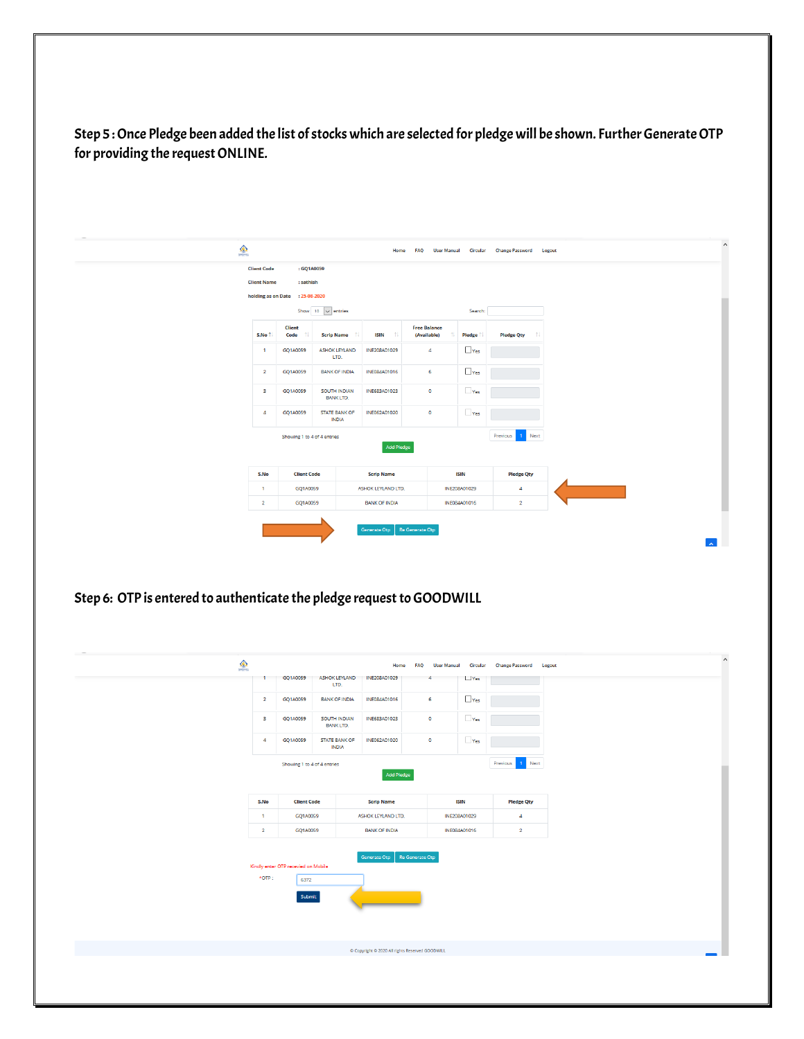Step 5 : Once Pledge been added the list of stocks which are selected for pledge will be shown. Further Generate OTP for providing the request ONLINE.

| $\bullet$                                                             |                    |                                 |                                          | Home                 |                                                    |                        | FAQ User Manual Circular Change Password Logout |
|-----------------------------------------------------------------------|--------------------|---------------------------------|------------------------------------------|----------------------|----------------------------------------------------|------------------------|-------------------------------------------------|
|                                                                       | <b>Client Code</b> | : GQ1A0059                      |                                          |                      |                                                    |                        |                                                 |
|                                                                       | <b>Client Name</b> | : sathish                       |                                          |                      |                                                    |                        |                                                 |
|                                                                       |                    | holding as on Date : 25-08-2020 |                                          |                      |                                                    |                        |                                                 |
|                                                                       |                    |                                 | Show 10 $\sqrt{\phantom{a}}$ entries     |                      |                                                    | Search:                |                                                 |
|                                                                       | S.No 1             | <b>Client</b><br>Code           | <b>Scrip Name</b>                        | <b>ISIN</b><br>-tl   | <b>Free Balance</b><br>(Available)<br>11           | <b>Pledge</b>          |                                                 |
|                                                                       | $\mathbf{1}$       | GQ1A0059                        | <b>ASHOK LEYLAND</b><br>LTD.             | INE208A01029         | $\overline{4}$                                     | $\Box$ Yes             |                                                 |
|                                                                       | $\overline{2}$     | GQ1A0059                        | <b>BANK OF INDIA</b>                     | INE084A01016         | 6                                                  | $\Box$ Yes             |                                                 |
|                                                                       | 3                  | GQ1A0059                        | SOUTH INDIAN<br><b>BANK LTD.</b>         | INE683A01023         | $\bullet$                                          | Yes                    |                                                 |
|                                                                       | $\Delta$           | GQ1A0059                        | <b>STATE BANK OF</b><br><b>INDIA</b>     | INE062A01020         | $\bullet$                                          | Yes                    |                                                 |
|                                                                       |                    | Showing 1 to 4 of 4 entries     |                                          |                      |                                                    |                        | Previous<br>Next                                |
|                                                                       |                    |                                 |                                          | <b>Add Pledge</b>    |                                                    |                        |                                                 |
|                                                                       | S.No               | <b>Client Code</b>              |                                          | <b>Scrip Name</b>    |                                                    | <b>ISIN</b>            | <b>Pledge Qty</b>                               |
|                                                                       | $\mathbf{1}$       | GQ1A0059                        |                                          | ASHOK LEYLAND LTD.   |                                                    | INE208A01029           | $\pmb{4}$                                       |
|                                                                       | $\overline{2}$     | GQ1A0059                        |                                          | <b>BANK OF INDIA</b> |                                                    | INE084A01016           | $\overline{2}$                                  |
|                                                                       |                    |                                 |                                          | Generate Otp         | Re Generate Otp                                    |                        |                                                 |
|                                                                       |                    |                                 |                                          |                      |                                                    |                        |                                                 |
|                                                                       |                    |                                 |                                          |                      |                                                    |                        |                                                 |
| $\bullet$                                                             | -1                 | GQ1A0059                        | ASHOK LEYLAND                            | Home<br>INE208A01029 | <b>FAQ</b><br><b>User Manual</b><br>$\overline{4}$ | Circular<br>$\Box$ Yes | <b>Change Password Logout</b>                   |
|                                                                       | $\overline{2}$     | GQ1A0059                        | LTD.<br><b>BANK OF INDIA</b>             | INE084A01016         | $\mathbf 6$                                        | $\Box$ Yes             |                                                 |
|                                                                       | $\mathbf{3}$       | GQ1A0059                        | SOUTH INDIAN                             | INE683A01023         | $\bullet$                                          | Yes                    |                                                 |
|                                                                       | $\overline{4}$     | GQ1A0059                        | <b>BANK LTD.</b><br><b>STATE BANK OF</b> | INE062A01020         | $\mathbf 0$                                        | Yes                    |                                                 |
|                                                                       |                    | Showing 1 to 4 of 4 entries     | <b>INDIA</b>                             |                      |                                                    |                        | Previous<br>$\mathbf{1}$<br>Next                |
| Step 6: OTP is entered to authenticate the pledge request to GOODWILL |                    |                                 |                                          | <b>Add Pledge</b>    |                                                    |                        |                                                 |
|                                                                       | S.No               | <b>Client Code</b>              |                                          | <b>Scrip Name</b>    |                                                    | <b>ISIN</b>            | <b>Pledge Qty</b>                               |
|                                                                       | $\mathbf{1}$       | GQ1A0059                        |                                          | ASHOK LEYLAND LTD.   |                                                    | INE208A01029           | $\overline{4}$                                  |
|                                                                       | $\overline{2}$     | GQ1A0059                        |                                          | <b>BANK OF INDIA</b> |                                                    | INE084A01016           | $\overline{2}$                                  |
|                                                                       |                    |                                 |                                          | Generate Otp         | Re Generate Otp                                    |                        |                                                 |

Copyright C 2020 All rights Reserved GOO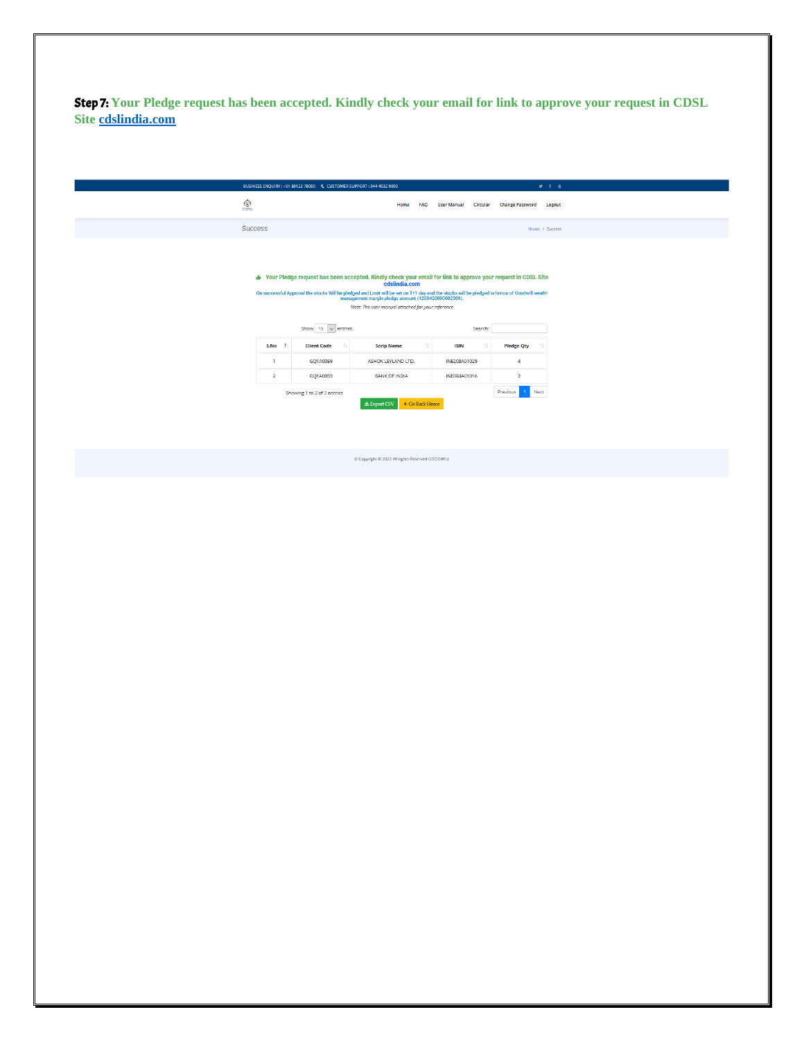Step 7: **Your Pledge request has been accepted. Kindly check your email for link to approve your request in CDSL Site [cdslindia.com](https://www.cdslindia.com/MarginPledge/OTP.aspx)**

|            |                | BUSINESS ENQUIRY: +91 80122 78000  C  CUSTOMER SUPPORT: 044 4032 9999 |                                                                                                                                                                                                                                                                                                                                                                                               |                                              |                        | $9 + 8$ |
|------------|----------------|-----------------------------------------------------------------------|-----------------------------------------------------------------------------------------------------------------------------------------------------------------------------------------------------------------------------------------------------------------------------------------------------------------------------------------------------------------------------------------------|----------------------------------------------|------------------------|---------|
| $\bigcirc$ |                |                                                                       | Home<br><b>FAQ</b>                                                                                                                                                                                                                                                                                                                                                                            | <b>User Manual</b><br>Circular               | <b>Change Password</b> | Logout  |
|            | <b>Success</b> |                                                                       |                                                                                                                                                                                                                                                                                                                                                                                               | Home / Success                               |                        |         |
|            |                | Show 10 $\vee$ entries                                                | √ Your Pledge request has been accepted. Kindly check your email for link to approve your request in CDSL Site<br>cdslindia.com<br>On successful Approval the stocks Will be pledged and Limit will be set on T+1 day and the stocks will be pledged in favour of Goodwill wealth<br>management margin pledge account (120842000602509).<br>Note: The user manual attached for your reference | Search:                                      |                        |         |
|            | S.No 1         | <b>Client Code</b><br>TI.                                             | <b>Scrip Name</b>                                                                                                                                                                                                                                                                                                                                                                             | 11<br><b>ISIN</b><br>$^{\uparrow\downarrow}$ | <b>Pledge Qty</b>      |         |
|            | -1             | GQ1A0059                                                              | ASHOK LEYLAND LTD.                                                                                                                                                                                                                                                                                                                                                                            | INE208A01029                                 | 4                      |         |
|            | $\overline{2}$ | GO1A0059                                                              | <b>BANK OF INDIA</b>                                                                                                                                                                                                                                                                                                                                                                          | INE084A01016                                 | $\overline{2}$         |         |
|            |                | Showing 1 to 2 of 2 entries                                           | ← Go Back Home                                                                                                                                                                                                                                                                                                                                                                                | Next<br>Previous                             |                        |         |

C Copyright C 2020 All rights Reserved GOODWILL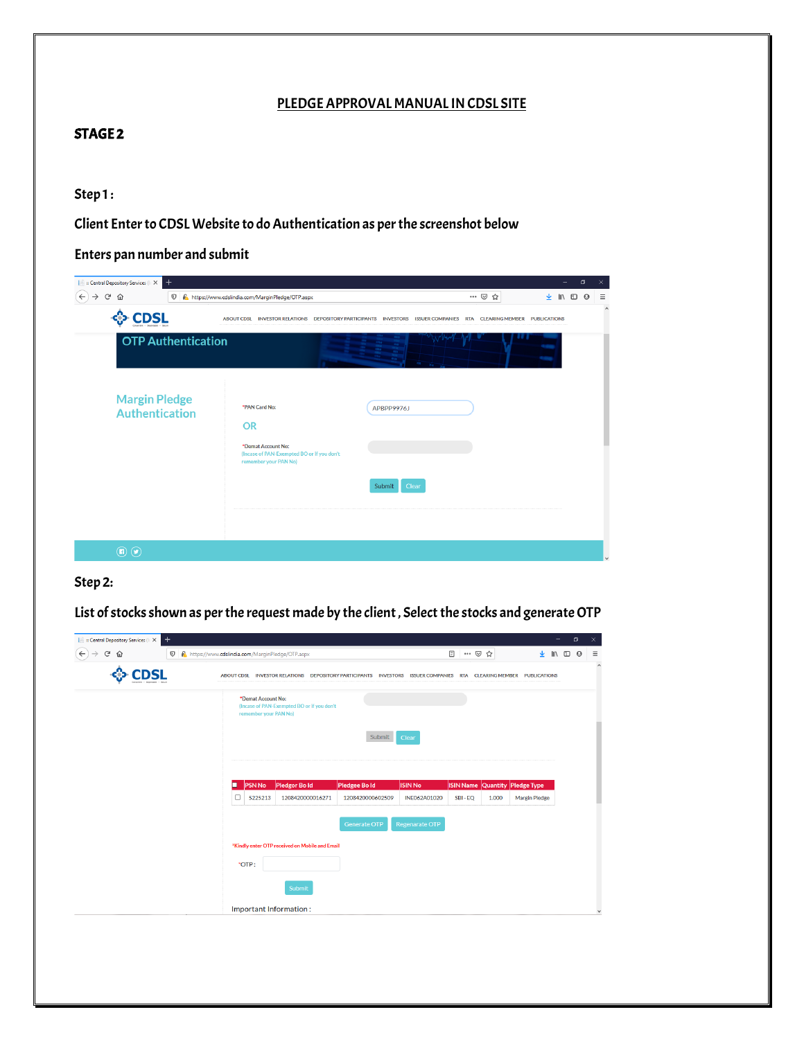#### PLEDGE APPROVAL MANUAL IN CDSL SITE

#### STAGE 2

### Step1:

Client Enter to CDSL Website to do Authentication as per the screenshot below

### Enters pan number and submit

| <b>Executive Central Depository Services (III X</b> | $\ddot{}$                                     |                                                                                                                         |                 |       | σ                                  |         |
|-----------------------------------------------------|-----------------------------------------------|-------------------------------------------------------------------------------------------------------------------------|-----------------|-------|------------------------------------|---------|
| G<br>$\rightarrow$<br>⇧<br>$\leftarrow$             | $\boldsymbol{\mathbb{O}}$                     | https://www.cdslindia.com/MarginPledge/OTP.aspx                                                                         |                 | … ◎ ☆ | $\mathbb{I}$ 1 $\mathbb{O}$ 0<br>坐 | Ξ       |
| <b>CDSL</b>                                         |                                               | ABOUT CDSL INVESTOR RELATIONS DEPOSITORY PARTICIPANTS INVESTORS ISSUER COMPANIES RTA CLEARING MEMBER PUBLICATIONS       |                 |       |                                    | $\land$ |
|                                                     | <b>OTP Authentication</b>                     |                                                                                                                         |                 |       |                                    |         |
|                                                     | <b>Margin Pledge</b><br><b>Authentication</b> | *PAN Card No:<br><b>OR</b><br>*Demat Account No:<br>(Incase of PAN-Exempted BO or if you don't<br>remember your PAN No) | APBPP9976J      |       |                                    |         |
|                                                     |                                               |                                                                                                                         | Submit<br>Clear |       |                                    |         |
| $\circledcirc$                                      |                                               |                                                                                                                         |                 |       |                                    |         |

### Step 2:

List of stocks shown as per the request made by the client , Select the stocks and generate OTP

| G<br>⋒ |             | <b>V</b> f https://www.cdslindia.com/MarginPledge/OTP.aspx |                                                                                                                   |                     |                       | 日 … ▽ ☆ |       | 业                                     | $\mathbb{R}$ 0 $\Theta$ |
|--------|-------------|------------------------------------------------------------|-------------------------------------------------------------------------------------------------------------------|---------------------|-----------------------|---------|-------|---------------------------------------|-------------------------|
|        | <b>IDCI</b> |                                                            | ABOUT CDSL INVESTOR RELATIONS DEPOSITORY PARTICIPANTS INVESTORS ISSUER COMPANIES RTA CLEARING MEMBER PUBLICATIONS |                     |                       |         |       |                                       |                         |
|        |             | *Demat Account No:<br>remember your PAN No)                | (Incase of PAN-Exempted BO or if you don't                                                                        |                     |                       |         |       |                                       |                         |
|        |             |                                                            |                                                                                                                   | Submit              | Clear                 |         |       |                                       |                         |
|        |             | <b>PSN No</b><br>п                                         | Pledgor Bold                                                                                                      | Pledgee Bold        | <b>ISIN No</b>        |         |       | <b>ISIN Name Quantity Pledge Type</b> |                         |
|        |             | $\Box$<br>5225213                                          | 1208420000016271                                                                                                  | 1208420000602509    | INE062A01020          | SBI-EQ  | 1.000 | Margin Pledge                         |                         |
|        |             |                                                            |                                                                                                                   | <b>Generate OTP</b> | <b>Regenarate OTP</b> |         |       |                                       |                         |
|        |             |                                                            | *Kindly enter OTP received on Mobile and Email                                                                    |                     |                       |         |       |                                       |                         |
|        |             | *OTP:                                                      | Submit                                                                                                            |                     |                       |         |       |                                       |                         |
|        |             | Important Information:                                     |                                                                                                                   |                     |                       |         |       |                                       |                         |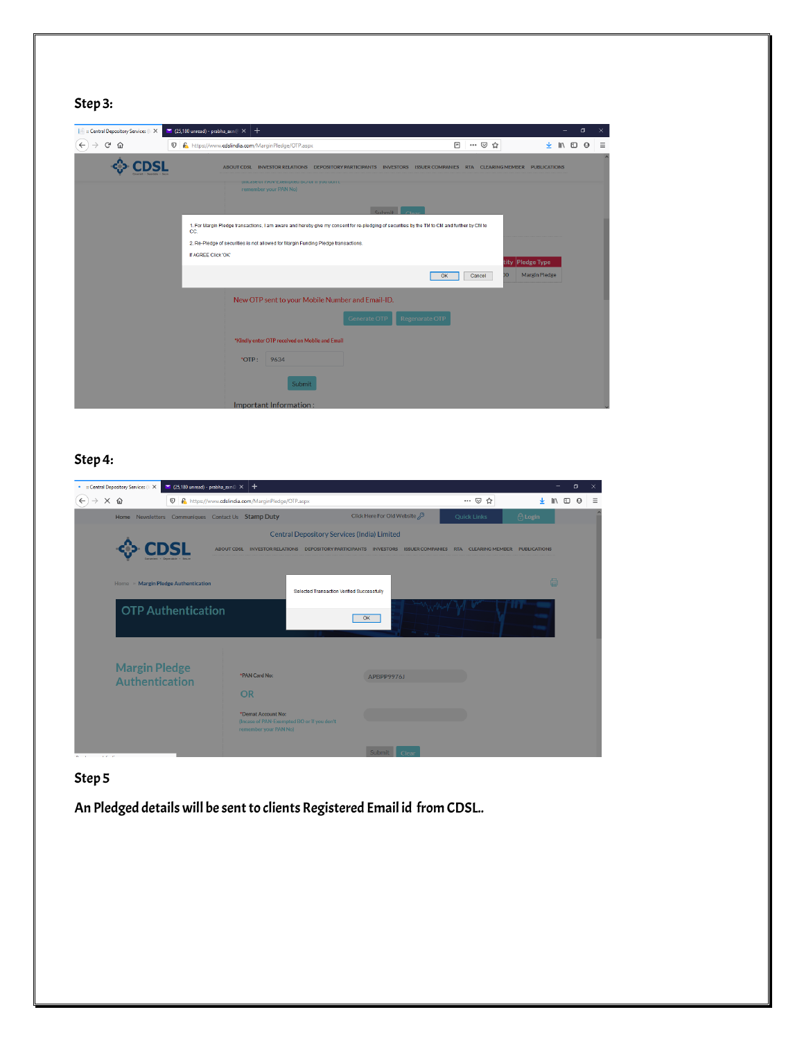## Step 3:

| <b>In a Central Depository Services (In X</b> |     | $\blacksquare$ (25,180 unread) - prabha_axn $\mathbb{R} \times   +$                                                                         |                    | σ                                               |   |
|-----------------------------------------------|-----|---------------------------------------------------------------------------------------------------------------------------------------------|--------------------|-------------------------------------------------|---|
| G<br>⇧                                        |     | <b>V A</b> https://www.cdslindia.com/MarginPledge/OTP.aspx                                                                                  | E<br>… ⊙ ☆         | $\mathbb{I}$ $\mathbb{I}$ $\mathbb{O}$ $\Theta$ | Ξ |
|                                               |     | ABOUT CDSL INVESTOR RELATIONS DEPOSITORY PARTICIPANTS INVESTORS ISSUER COMPANIES RTA CLEARING MEMBER PUBLICATIONS                           |                    |                                                 |   |
|                                               |     | <b>ITICASE OF PAIN'EXEMPTED DO OF IT YOU GOT!</b><br>remember your PAN No)                                                                  |                    |                                                 |   |
|                                               |     | Submit                                                                                                                                      |                    |                                                 |   |
|                                               | CC. | 1. For Margin Pledge transactions, I am aware and hereby give my consent for re-pledging of securities by the TM to CM and further by CM to |                    |                                                 |   |
|                                               |     | 2. Re-Pledge of securities is not allowed for Margin Funding Pledge transactions.                                                           |                    |                                                 |   |
|                                               |     | If AGREE Click 'OK'                                                                                                                         | tity Pledge Type   |                                                 |   |
|                                               |     |                                                                                                                                             | DO<br>OK<br>Cancel | Margin Pledge                                   |   |
|                                               |     | New OTP sent to your Mobile Number and Email-ID.                                                                                            |                    |                                                 |   |
|                                               |     | Generate OTP                                                                                                                                | Regenarate OTP     |                                                 |   |
|                                               |     | *Kindly enter OTP received on Mobile and Email                                                                                              |                    |                                                 |   |
|                                               |     | *OTP:<br>9634                                                                                                                               |                    |                                                 |   |
|                                               |     | Submit                                                                                                                                      |                    |                                                 |   |
|                                               |     | Important Information:                                                                                                                      |                    |                                                 |   |

## Step 4:

| . : Central Depository Services (I: X         | $\Box$ (25,180 unread) - prabha_axn $\odot \times$ | $^{+}$                                                                    |                                                    |                                                                                                                   |                    | $\Box$<br>×                                                          |
|-----------------------------------------------|----------------------------------------------------|---------------------------------------------------------------------------|----------------------------------------------------|-------------------------------------------------------------------------------------------------------------------|--------------------|----------------------------------------------------------------------|
| $\times$ $\omega$<br>$\leftarrow$             | $\boldsymbol{\mathbb{O}}$                          | https://www.cdslindia.com/MarginPledge/OTP.aspx                           |                                                    |                                                                                                                   | … ◎ ☆              | $\mathbb{I}$ $\mathbb{I}$ $\mathbb{I}$ $\mathbb{I}$<br>$\theta$<br>Ξ |
|                                               |                                                    | Home Newsletters Communiques Contact Us Stamp Duty                        |                                                    | Click Here For Old Website                                                                                        | <b>Quick Links</b> | <b>A</b> Login                                                       |
|                                               |                                                    |                                                                           | <b>Central Depository Services (India) Limited</b> | ABOUT CDSL INVESTOR RELATIONS DEPOSITORY PARTICIPANTS INVESTORS ISSUER COMPANIES RTA CLEARING MEMBER PUBLICATIONS |                    |                                                                      |
| Home » Margin Pledge Authentication           |                                                    |                                                                           | Selected Transaction Verified Successfully         |                                                                                                                   |                    | ₿                                                                    |
| <b>OTP Authentication</b>                     |                                                    |                                                                           |                                                    | OK                                                                                                                |                    |                                                                      |
| <b>Margin Pledge</b><br><b>Authentication</b> |                                                    | *PAN Card No:<br><b>OR</b><br>*Demat Account No:<br>remember your PAN No) | (Incase of PAN-Exempted BO or if you don't         | APBPP9976J                                                                                                        |                    |                                                                      |
| <b>COLLAR</b><br><b>COLLECTION</b>            |                                                    |                                                                           |                                                    | Submit<br>Clear                                                                                                   |                    |                                                                      |

## Step 5

An Pledged details will be sent to clients Registered Email id from CDSL..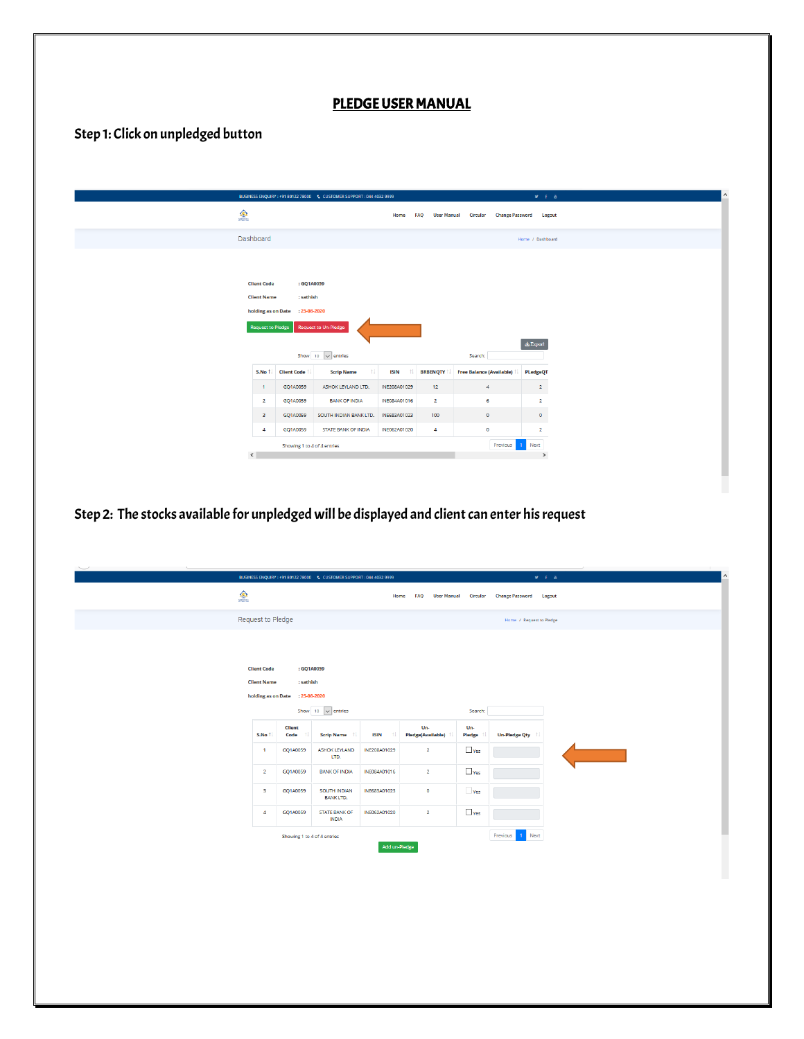### PLEDGE USER MANUAL

# Step 1: Click on unpledged button

|            |                                          |                                 | BUSINESS ENQUIRY: +91 80122 78000  C CUSTOMER SUPPORT: 044 4032 9999 |                     |                                  |                          |                                 | <b>Mit a</b>     |
|------------|------------------------------------------|---------------------------------|----------------------------------------------------------------------|---------------------|----------------------------------|--------------------------|---------------------------------|------------------|
| $\bigcirc$ |                                          |                                 |                                                                      | Home                | <b>FAQ</b><br><b>User Manual</b> |                          | <b>Circular Change Password</b> | Logout           |
|            | Dashboard                                |                                 |                                                                      |                     |                                  |                          |                                 | Home / Dashboard |
|            |                                          |                                 |                                                                      |                     |                                  |                          |                                 |                  |
|            |                                          |                                 |                                                                      |                     |                                  |                          |                                 |                  |
|            | <b>Client Code</b><br><b>Client Name</b> | : sathish                       | : GQ1A0059                                                           |                     |                                  |                          |                                 |                  |
|            |                                          | holding as on Date : 25-08-2020 |                                                                      |                     |                                  |                          |                                 |                  |
|            | Request to Pledge                        |                                 | Request to Un-Pledge                                                 |                     |                                  |                          |                                 |                  |
|            |                                          |                                 |                                                                      |                     |                                  |                          |                                 | $\Delta$ Export  |
|            |                                          |                                 | Show 10 $\sqrt{\ }$ entries                                          |                     |                                  | Search:                  |                                 |                  |
|            |                                          | S.No <sup>1</sup> . Client Code | 11<br><b>Scrip Name</b>                                              | <b>ISIN</b><br>- 11 | <b>BRBENQTY</b>                  | Free Balance (Available) |                                 | <b>PLedgeQT</b>  |
|            | $\mathbf{1}$                             | GQ1A0059                        | ASHOK LEYLAND LTD.                                                   | INE208A01029        | 12                               | $\overline{4}$           |                                 | $\overline{2}$   |
|            | $\overline{2}$                           | GQ1A0059                        | <b>BANK OF INDIA</b>                                                 | INE084A01016        | $\overline{2}$                   | 6                        |                                 | $\overline{2}$   |
|            | $\overline{\mathbf{3}}$                  | GQ1A0059                        | SOUTH INDIAN BANK LTD.                                               | INE683A01023        | 100                              | $\bullet$                |                                 | $\bullet$        |
|            | $\overline{a}$                           | GQ1A0059                        | <b>STATE BANK OF INDIA</b>                                           | INE062A01020        | $\overline{4}$                   | $\bullet$                |                                 | $\overline{2}$   |
|            |                                          |                                 | Showing 1 to 4 of 4 entries                                          |                     |                                  |                          | Previous                        | 1 Next<br>$\,$   |
|            | $\leq$                                   |                                 |                                                                      |                     |                                  |                          |                                 |                  |

Step 2: The stocks available for unpledged will be displayed and client can enter his request

|                                          | BUSINESS ENQUIRY: +91 80122 78000  C CUSTOMER SUPPORT: 044 4032 9999 |                                        |                                 |                             | $x + a$                       |
|------------------------------------------|----------------------------------------------------------------------|----------------------------------------|---------------------------------|-----------------------------|-------------------------------|
| $\frac{\textcircled{}}{\textcircled{}}$  |                                                                      |                                        | Home<br><b>FAQ</b>              | <b>User Manual Circular</b> | <b>Change Password Logout</b> |
| Request to Pledge                        |                                                                      |                                        |                                 |                             | Home / Request to Pledge      |
| <b>Client Code</b><br><b>Client Name</b> | : GQ1A0059<br>: sathish<br>holding as on Date : 25-08-2020           |                                        |                                 |                             |                               |
|                                          | Show 10 $\sqrt{\phantom{a}}$ entries                                 |                                        |                                 | Search:                     |                               |
| S.No 1                                   | <b>Client</b><br>Code<br><b>Scrip Name</b>                           | <b>ISIN</b><br>$^{\uparrow\downarrow}$ | Un-<br><b>Pledge(Available)</b> | Un-<br><b>Pledge</b>        | <b>Un-Pledge Qty</b>          |
| $\overline{1}$                           | GQ1A0059<br><b>ASHOK LEYLAND</b><br>LTD.                             | INE208A01029                           | $\overline{2}$                  | $\Box$ Yes                  |                               |
| $\overline{2}$                           | <b>BANK OF INDIA</b><br>GQ1A0059                                     | INE084A01016                           | $\overline{2}$                  | $\Box$ Yes                  |                               |
| $\overline{\mathbf{3}}$                  | GQ1A0059<br><b>SOUTH INDIAN</b><br><b>BANK LTD.</b>                  | INE683A01023                           | $\circ$                         | $\Box$ Yes                  |                               |
| $\overline{4}$                           | <b>STATE BANK OF</b><br>GQ1A0059<br><b>INDIA</b>                     | INE062A01020                           | $\overline{2}$                  | $\Box$ Yes                  |                               |
|                                          | Showing 1 to 4 of 4 entries                                          | Add un-Pledge                          |                                 |                             | Previous<br>1 Next            |
|                                          |                                                                      |                                        |                                 |                             |                               |
|                                          |                                                                      |                                        |                                 |                             |                               |
|                                          |                                                                      |                                        |                                 |                             |                               |
|                                          |                                                                      |                                        |                                 |                             |                               |
|                                          |                                                                      |                                        |                                 |                             |                               |
|                                          |                                                                      |                                        |                                 |                             |                               |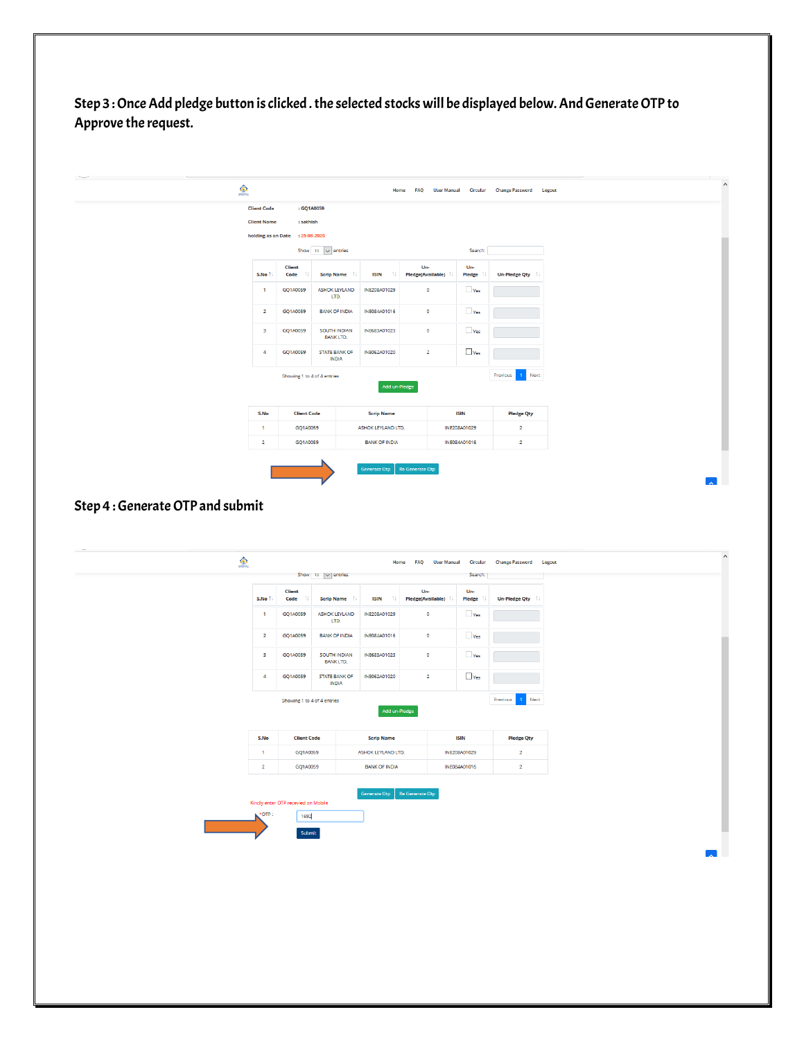Step 3 : Once Add pledge button is clicked . the selected stocks will be displayed below. And Generate OTP to Approve the request.